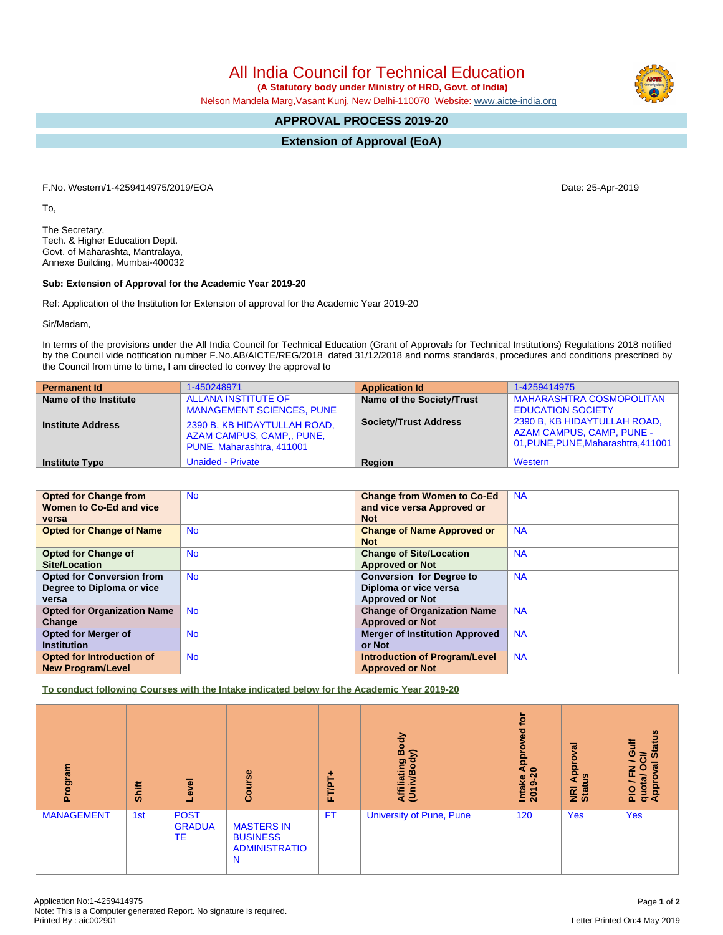All India Council for Technical Education

 **(A Statutory body under Ministry of HRD, Govt. of India)**

Nelson Mandela Marg,Vasant Kunj, New Delhi-110070 Website: [www.aicte-india.org](http://www.aicte-india.org)

## **APPROVAL PROCESS 2019-20**

**Extension of Approval (EoA)**

F.No. Western/1-4259414975/2019/EOA Date: 25-Apr-2019

To,

The Secretary, Tech. & Higher Education Deptt. Govt. of Maharashta, Mantralaya, Annexe Building, Mumbai-400032

## **Sub: Extension of Approval for the Academic Year 2019-20**

Ref: Application of the Institution for Extension of approval for the Academic Year 2019-20

Sir/Madam,

In terms of the provisions under the All India Council for Technical Education (Grant of Approvals for Technical Institutions) Regulations 2018 notified by the Council vide notification number F.No.AB/AICTE/REG/2018 dated 31/12/2018 and norms standards, procedures and conditions prescribed by the Council from time to time, I am directed to convey the approval to

| <b>Permanent Id</b>      | 1-450248971                                                                            | <b>Application Id</b>        | 1-4259414975                                                                                            |
|--------------------------|----------------------------------------------------------------------------------------|------------------------------|---------------------------------------------------------------------------------------------------------|
| Name of the Institute    | <b>ALLANA INSTITUTE OF</b><br><b>MANAGEMENT SCIENCES, PUNE</b>                         | Name of the Society/Trust    | <b>MAHARASHTRA COSMOPOLITAN</b><br><b>EDUCATION SOCIETY</b>                                             |
| <b>Institute Address</b> | 2390 B, KB HIDAYTULLAH ROAD,<br>AZAM CAMPUS, CAMP., PUNE,<br>PUNE, Maharashtra, 411001 | <b>Society/Trust Address</b> | 2390 B, KB HIDAYTULLAH ROAD,<br><b>AZAM CAMPUS, CAMP, PUNE -</b><br>01, PUNE, PUNE, Maharashtra, 411001 |
| <b>Institute Type</b>    | <b>Unaided - Private</b>                                                               | Region                       | Western                                                                                                 |

| <b>Opted for Change from</b>       | <b>No</b> | <b>Change from Women to Co-Ed</b>     | <b>NA</b> |
|------------------------------------|-----------|---------------------------------------|-----------|
| Women to Co-Ed and vice            |           |                                       |           |
|                                    |           | and vice versa Approved or            |           |
| versa                              |           | <b>Not</b>                            |           |
|                                    |           |                                       |           |
| <b>Opted for Change of Name</b>    | <b>No</b> | <b>Change of Name Approved or</b>     | <b>NA</b> |
|                                    |           | <b>Not</b>                            |           |
|                                    |           |                                       |           |
| <b>Opted for Change of</b>         | <b>No</b> | <b>Change of Site/Location</b>        | <b>NA</b> |
| Site/Location                      |           |                                       |           |
|                                    |           | <b>Approved or Not</b>                |           |
| <b>Opted for Conversion from</b>   | <b>No</b> | <b>Conversion for Degree to</b>       | <b>NA</b> |
| Degree to Diploma or vice          |           | Diploma or vice versa                 |           |
|                                    |           |                                       |           |
| versa                              |           | <b>Approved or Not</b>                |           |
| <b>Opted for Organization Name</b> | <b>No</b> | <b>Change of Organization Name</b>    | <b>NA</b> |
| Change                             |           | <b>Approved or Not</b>                |           |
|                                    |           |                                       |           |
| <b>Opted for Merger of</b>         | <b>No</b> | <b>Merger of Institution Approved</b> | <b>NA</b> |
| <b>Institution</b>                 |           | or Not                                |           |
| Opted for Introduction of          | <b>No</b> | <b>Introduction of Program/Level</b>  | <b>NA</b> |
|                                    |           |                                       |           |
| <b>New Program/Level</b>           |           | <b>Approved or Not</b>                |           |

**To conduct following Courses with the Intake indicated below for the Academic Year 2019-20**

| Program           | Shift | g<br>ڡؖٞ                                  | Course                                                            | FT/PT+    | Body<br>$\widehat{\mathbf{z}}$<br>Affiliating<br>(Univ/Body | <b>b</b><br>್ಠಾ<br>٥<br>윤<br>⋖ ๐<br><b>Intake</b><br>2019-2 | $\overline{\mathbf{z}}$<br>g<br>윤<br>9ù<br>⋖<br>NRI<br>Statu | <b>Status</b><br>₹<br>ပ<br>∽<br>$\overline{5}$<br>준<br>О<br>quota/<br>Approv<br>$rac{Q}{R}$ |
|-------------------|-------|-------------------------------------------|-------------------------------------------------------------------|-----------|-------------------------------------------------------------|-------------------------------------------------------------|--------------------------------------------------------------|---------------------------------------------------------------------------------------------|
| <b>MANAGEMENT</b> | 1st   | <b>POST</b><br><b>GRADUA</b><br><b>TE</b> | <b>MASTERS IN</b><br><b>BUSINESS</b><br><b>ADMINISTRATIO</b><br>N | <b>FT</b> | <b>University of Pune, Pune</b>                             | 120                                                         | <b>Yes</b>                                                   | <b>Yes</b>                                                                                  |